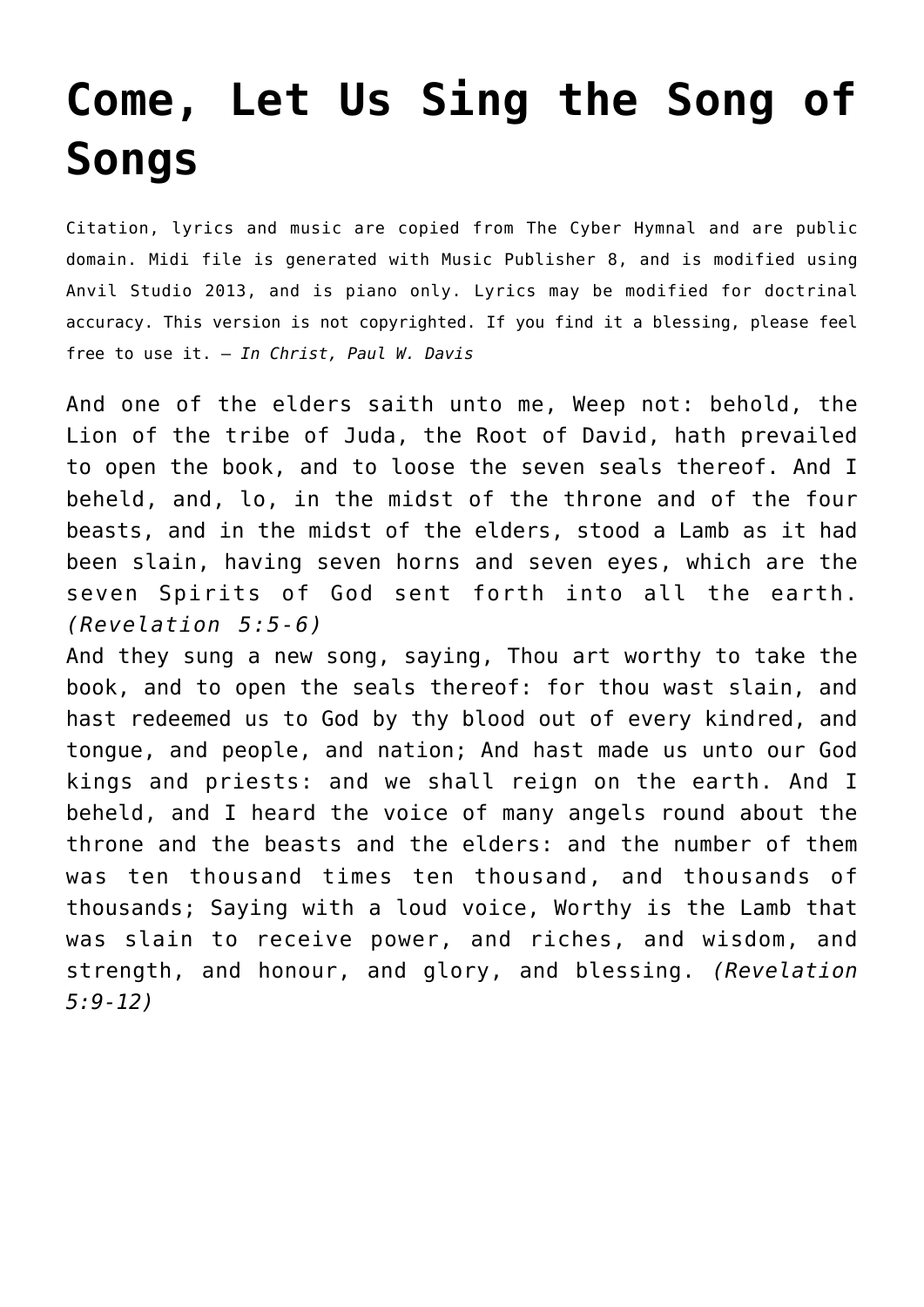## **[Come, Let Us Sing the Song of](http://reproachofmen.org/hymns-and-music/come-let-us-sing-the-song-of-songs/) [Songs](http://reproachofmen.org/hymns-and-music/come-let-us-sing-the-song-of-songs/)**

Citation, lyrics and music are copied from [The Cyber Hymnal](http://www.hymntime.com/tch/) and are public domain. Midi file is generated with [Music Publisher 8](http://www.braeburn.co.uk/mp.htm), and is modified using [Anvil Studio 2013](http://www.anvilstudio.com/), and is piano only. Lyrics may be modified for doctrinal accuracy. This version is not copyrighted. If you find it a blessing, please feel free to use it. — *In Christ, Paul W. Davis*

And one of the elders saith unto me, Weep not: behold, the Lion of the tribe of Juda, the Root of David, hath prevailed to open the book, and to loose the seven seals thereof. And I beheld, and, lo, in the midst of the throne and of the four beasts, and in the midst of the elders, stood a Lamb as it had been slain, having seven horns and seven eyes, which are the seven Spirits of God sent forth into all the earth. *(Revelation 5:5-6)*

And they sung a new song, saying, Thou art worthy to take the book, and to open the seals thereof: for thou wast slain, and hast redeemed us to God by thy blood out of every kindred, and tongue, and people, and nation; And hast made us unto our God kings and priests: and we shall reign on the earth. And I beheld, and I heard the voice of many angels round about the throne and the beasts and the elders: and the number of them was ten thousand times ten thousand, and thousands of thousands; Saying with a loud voice, Worthy is the Lamb that was slain to receive power, and riches, and wisdom, and strength, and honour, and glory, and blessing. *(Revelation 5:9-12)*